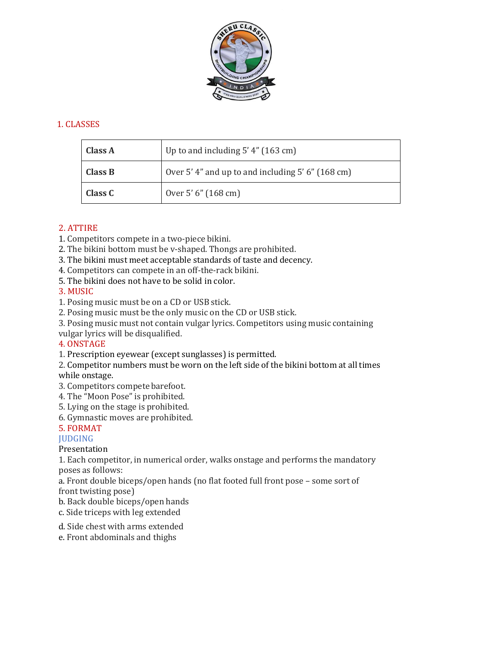

## 1. CLASSES

| <b>Class A</b> | Up to and including $5'$ 4" (163 cm)            |
|----------------|-------------------------------------------------|
| <b>Class B</b> | Over 5'4" and up to and including 5'6" (168 cm) |
| <b>Class C</b> | Over 5' 6" (168 cm)                             |

### 2. ATTIRE

- 1. Competitors compete in a two-piece bikini.
- 2. The bikini bottom must be v-shaped. Thongs are prohibited.
- 3. The bikini must meet acceptable standards of taste and decency.
- 4. Competitors can compete in an off-the-rack bikini.
- 5. The bikini does not have to be solid in color.

### 3. MUSIC

- 1. Posing music must be on a CD or USB stick.
- 2. Posing music must be the only music on the CD or USB stick.
- 3. Posing music must not contain vulgar lyrics. Competitors using music containing
- vulgar lyrics will be disqualified.

# 4. ONSTAGE

- 1. Prescription eyewear (except sunglasses) is permitted.
- 2. Competitor numbers must be worn on the left side of the bikini bottom at all times

### while onstage.

- 3. Competitors compete barefoot.
- 4. The "Moon Pose" is prohibited.
- 5. Lying on the stage is prohibited.
- 6. Gymnastic moves are prohibited.

### 5. FORMAT

### **JUDGING**

### Presentation

- 1. Each competitor, in numerical order, walks onstage and performs the mandatory poses as follows:
- a. Front double biceps/open hands (no flat footed full front pose some sort of front twisting pose)
- b. Back double biceps/open hands
- c. Side triceps with leg extended
- d. Side chest with arms extended
- e. Front abdominals and thighs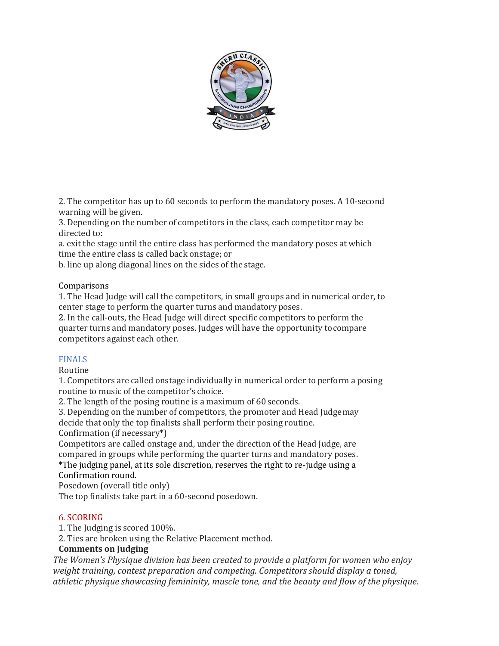

2. The competitor has up to 60 seconds to perform the mandatory poses. A 10-second warning will be given.

3. Depending on the number of competitors in the class, each competitor may be directed to:

a. exit the stage until the entire class has performed the mandatory poses at which time the entire class is called back onstage; or

b. line up along diagonal lines on the sides of the stage.

### Comparisons

1. The Head Judge will call the competitors, in small groups and in numerical order, to center stage to perform the quarter turns and mandatory poses.

2. In the call-outs, the Head Judge will direct specific competitors to perform the quarter turns and mandatory poses. Judges will have the opportunity tocompare competitors against each other.

### FINALS

Routine

1. Competitors are called onstage individually in numerical order to perform a posing routine to music of the competitor's choice.

2. The length of the posing routine is a maximum of 60 seconds.

3. Depending on the number of competitors, the promoter and Head Judgemay decide that only the top finalists shall perform their posing routine.

Confirmation (if necessary\*)

Competitors are called onstage and, under the direction of the Head Judge, are compared in groups while performing the quarter turns and mandatory poses. \*The judging panel, at its sole discretion, reserves the right to re-judge using a Confirmation round.

Posedown (overall title only)

The top finalists take part in a 60-second posedown.

### 6. SCORING

1. The Judging is scored 100%.

2. Ties are broken using the Relative Placement method.

# **Comments on Judging**

*The Women's Physique division has been created to provide a platform for women who enjoy weight training, contest preparation and competing. Competitors should display a toned, athletic physique showcasing femininity, muscle tone, and the beauty and flow of the physique.*